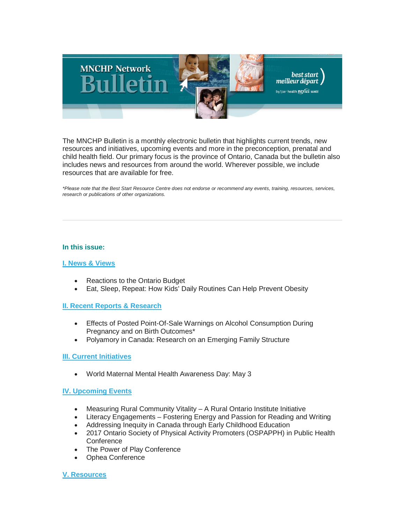

The MNCHP Bulletin is a monthly electronic bulletin that highlights current trends, new resources and initiatives, upcoming events and more in the preconception, prenatal and child health field. Our primary focus is the province of Ontario, Canada but the bulletin also includes news and resources from around the world. Wherever possible, we include resources that are available for free.

*\*Please note that the Best Start Resource Centre does not endorse or recommend any events, training, resources, services, research or publications of other organizations.*

### **In this issue:**

## **[I. News & Views](#page-1-0)**

- Reactions to the Ontario Budget
- Eat, Sleep, Repeat: How Kids' Daily Routines Can Help Prevent Obesity

## **[II. Recent Reports & Research](#page-2-0)**

- Effects of Posted Point-Of-Sale Warnings on Alcohol Consumption During Pregnancy and on Birth Outcomes\*
- Polyamory in Canada: Research on an Emerging Family Structure

## **[III. Current Initiatives](#page-3-0)**

• World Maternal Mental Health Awareness Day: May 3

## **[IV. Upcoming Events](#page-3-1)**

- Measuring Rural Community Vitality A Rural Ontario Institute Initiative
- Literacy Engagements Fostering Energy and Passion for Reading and Writing
- Addressing Inequity in Canada through Early Childhood Education
- 2017 Ontario Society of Physical Activity Promoters (OSPAPPH) in Public Health **Conference**
- The Power of Play Conference
- Ophea Conference

## **[V. Resources](#page-5-0)**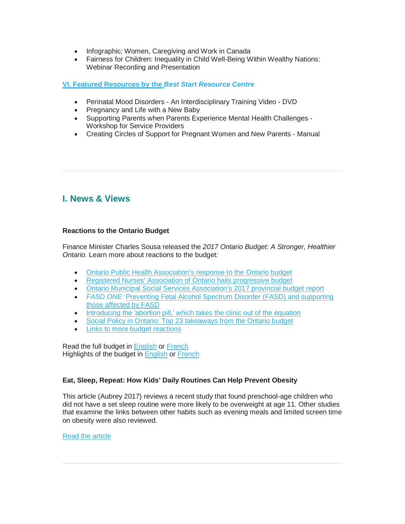- Infographic: Women, Caregiving and Work in Canada
- Fairness for Children: Inequality in Child Well-Being Within Wealthy Nations: Webinar Recording and Presentation

## **[VI. Featured Resources by the](#page-6-0)** *Best Start Resource Centre*

- Perinatal Mood Disorders An Interdisciplinary Training Video DVD
- Pregnancy and Life with a New Baby
- Supporting Parents when Parents Experience Mental Health Challenges Workshop for Service Providers
- Creating Circles of Support for Pregnant Women and New Parents Manual

# <span id="page-1-0"></span>**I. News & Views**

## **Reactions to the Ontario Budget**

Finance Minister Charles Sousa released the *2017 Ontario Budget: A Stronger, Healthier Ontario.* Learn more about reactions to the budget*:*

- [Ontario Public Health Association's response to the Ontario budget](http://www.opha.on.ca/Events-News-and-Media/News/2017-Budget-Province-of-Ontario.aspx)
- [Registered Nurses' Association of Ontario hails progressive budget](http://www.newswire.ca/news-releases/rnao-hails-progressive-budget-620665263.html)
- [Ontario Municipal Social Services Association's 2017 provincial budget report](http://campaign.r20.constantcontact.com/render?m=1115209281328&ca=f923d4f5-22a4-4bdc-9bbc-62550e0356b1)
- *[FASD ONE:](http://www.fasdontario.ca/cms/news/preventing-fetal-alcohol-spectrum-disorder-fasd-and-supporting-those-affected-by-fasd/)* [Preventing Fetal Alcohol Spectrum Disorder \(FASD\) and supporting](http://www.fasdontario.ca/cms/news/preventing-fetal-alcohol-spectrum-disorder-fasd-and-supporting-those-affected-by-fasd/)  [those affected by](http://www.fasdontario.ca/cms/news/preventing-fetal-alcohol-spectrum-disorder-fasd-and-supporting-those-affected-by-fasd/) FASD
- [Introducing the 'abortion pill,' which takes the clinic out of the equation](http://ottawacitizen.com/news/local-news/abortion-without-the-clinic)
- [Social Policy in Ontario: Top 23 takeaways from the Ontario budget](http://spon.ca/top-23-takeaways-from-the-ontario-budget/2017/04/28/)
- [Links to more budget reactions](https://www.diigo.com/profile/rkalda?query=%23ontario+%23budget+%232017)

Read the full budget in [English](http://www.fin.gov.on.ca/en/budget/ontariobudgets/2017/index.html) or [French](http://www.fin.gov.on.ca/fr/budget/ontariobudgets/2017/index.html) Highlights of the budget in [English](https://www.ontario.ca/page/2017-budget-brief-making-life-more-affordable?_ga=1.60358637.1353062700.1454441806) or [French](https://www.ontario.ca/fr/page/2017-budget-en-bref-rendre-le-quotidien-plus-abordable)

## **Eat, Sleep, Repeat: How Kids' Daily Routines Can Help Prevent Obesity**

This article (Aubrey 2017) reviews a recent study that found preschool-age children who did not have a set sleep routine were more likely to be overweight at age 11. Other studies that examine the links between other habits such as evening meals and limited screen time on obesity were also reviewed.

## [Read the article](http://www.npr.org/sections/thesalt/2017/04/25/525394739/eat-sleep-repeat-how-kids-daily-routines-can-help-prevent-obesity)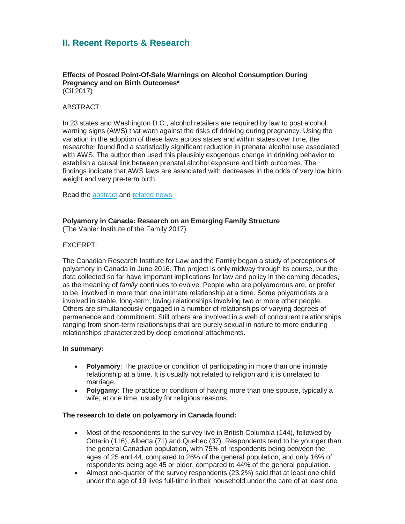# <span id="page-2-0"></span>**II. Recent Reports & Research**

**Effects of Posted Point-Of-Sale Warnings on Alcohol Consumption During Pregnancy and on Birth Outcomes\*** (Cil 2017)

## ABSTRACT:

In 23 states and Washington D.C., alcohol retailers are required by law to post alcohol warning signs (AWS) that warn against the risks of drinking during pregnancy. Using the variation in the adoption of these laws across states and within states over time, the researcher found find a statistically significant reduction in prenatal alcohol use associated with AWS. The author then used this plausibly exogenous change in drinking behavior to establish a causal link between prenatal alcohol exposure and birth outcomes. The findings indicate that AWS laws are associated with decreases in the odds of very low birth weight and very pre-term birth.

Read the [abstract](http://www.sciencedirect.com/science/article/pii/S0167629617302448) and [related news](https://www.eurekalert.org/pub_releases/2017-04/uoo-spt041817.php)

### **Polyamory in Canada: Research on an Emerging Family Structure**

(The Vanier Institute of the Family 2017)

### EXCERPT:

The Canadian Research Institute for Law and the Family began a study of perceptions of polyamory in Canada in June 2016. The project is only midway through its course, but the data collected so far have important implications for law and policy in the coming decades, as the meaning of *family* continues to evolve. People who are polyamorous are, or prefer to be, involved in more than one intimate relationship at a time. Some polyamorists are involved in stable, long-term, loving relationships involving two or more other people. Others are simultaneously engaged in a number of relationships of varying degrees of permanence and commitment. Still others are involved in a web of concurrent relationships ranging from short-term relationships that are purely sexual in nature to more enduring relationships characterized by deep emotional attachments.

#### **In summary:**

- **Polyamory**: The practice or condition of participating in more than one intimate relationship at a time. It is usually not related to religion and it is unrelated to marriage.
- **Polygamy**: The practice or condition of having more than one spouse, typically a wife, at one time, usually for religious reasons.

#### **The research to date on polyamory in Canada found:**

- Most of the respondents to the survey live in British Columbia (144), followed by Ontario (116), Alberta (71) and Quebec (37). Respondents tend to be younger than the general Canadian population, with 75% of respondents being between the ages of 25 and 44, compared to 26% of the general population, and only 16% of respondents being age 45 or older, compared to 44% of the general population.
- Almost one-quarter of the survey respondents (23.2%) said that at least one child under the age of 19 lives full-time in their household under the care of at least one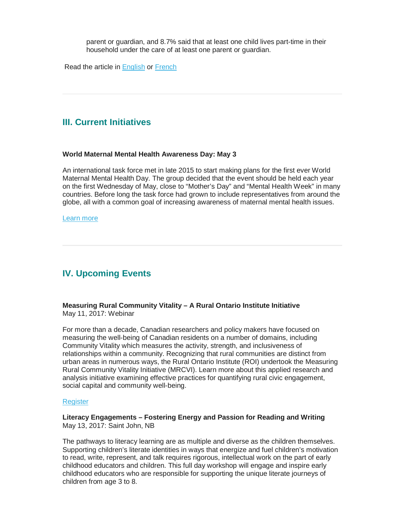parent or guardian, and 8.7% said that at least one child lives part-time in their household under the care of at least one parent or guardian.

Read the article in [English](http://vanierinstitute.ca/polyamory-in-canada-research-on-an-emerging-family-structure/) or [French](http://institutvanier.ca/le-polyamour-au-canada-etude-dune-structure-familiale-emergente/)

# <span id="page-3-0"></span>**III. Current Initiatives**

#### **World Maternal Mental Health Awareness Day: May 3**

An international task force met in late 2015 to start making plans for the first ever World Maternal Mental Health Day. The group decided that the event should be held each year on the first Wednesday of May, close to "Mother's Day" and "Mental Health Week" in many countries. Before long the task force had grown to include representatives from around the globe, all with a common goal of increasing awareness of maternal mental health issues.

#### [Learn more](http://wmmhday.postpartum.net/)

# <span id="page-3-1"></span>**IV. Upcoming Events**

### **Measuring Rural Community Vitality – A Rural Ontario Institute Initiative** May 11, 2017: Webinar

For more than a decade, Canadian researchers and policy makers have focused on measuring the well-being of Canadian residents on a number of domains, including Community Vitality which measures the activity, strength, and inclusiveness of relationships within a community. Recognizing that rural communities are distinct from urban areas in numerous ways, the Rural Ontario Institute (ROI) undertook the Measuring Rural Community Vitality Initiative (MRCVI). Learn more about this applied research and analysis initiative examining effective practices for quantifying rural civic engagement, social capital and community well-being.

#### **[Register](https://www.eventbrite.ca/e/measuring-rural-community-vitality-a-rural-ontario-institute-initiative-registration-33496684485)**

### **Literacy Engagements – Fostering Energy and Passion for Reading and Writing** May 13, 2017: Saint John, NB

The pathways to literacy learning are as multiple and diverse as the children themselves. Supporting children's literate identities in ways that energize and fuel children's motivation to read, write, represent, and talk requires rigorous, intellectual work on the part of early childhood educators and children. This full day workshop will engage and inspire early childhood educators who are responsible for supporting the unique literate journeys of children from age 3 to 8.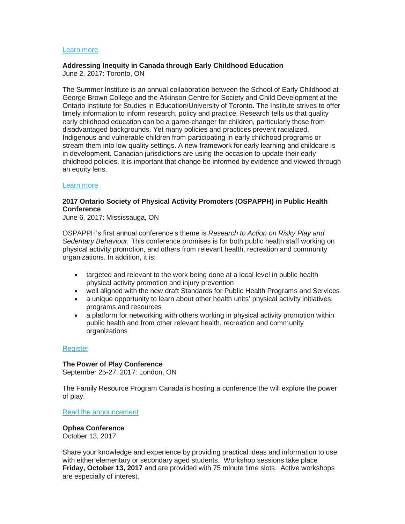### [Learn more](http://www.unb.ca/conferences/literacyworkshops/early-literacy-day-with-matt-glover.html)

### **Addressing Inequity in Canada through Early Childhood Education**

June 2, 2017: Toronto, ON

The Summer Institute is an annual collaboration between the School of Early Childhood at George Brown College and the Atkinson Centre for Society and Child Development at the Ontario Institute for Studies in Education/University of Toronto. The Institute strives to offer timely information to inform research, policy and practice. Research tells us that quality early childhood education can be a game-changer for children, particularly those from disadvantaged backgrounds. Yet many policies and practices prevent racialized, Indigenous and vulnerable children from participating in early childhood programs or stream them into low quality settings. A new framework for early learning and childcare is in development. Canadian jurisdictions are using the occasion to update their early childhood policies. It is important that change be informed by evidence and viewed through an equity lens.

#### [Learn more](http://www.oise.utoronto.ca/atkinson/Events/2017_Events/Summer_Institute_2017/index.html)

### **2017 Ontario Society of Physical Activity Promoters (OSPAPPH) in Public Health Conference**

June 6, 2017: Mississauga, ON

OSPAPPH's first annual conference's theme is *Research to Action on Risky Play and Sedentary Behaviour.* This conference promises is for both public health staff working on physical activity promotion, and others from relevant health, recreation and community organizations. In addition, it is:

- targeted and relevant to the work being done at a local level in public health physical activity promotion and injury prevention
- well aligned with the new draft Standards for Public Health Programs and Services
- a unique opportunity to learn about other health units' physical activity initiatives, programs and resources
- a platform for networking with others working in physical activity promotion within public health and from other relevant health, recreation and community organizations

#### **[Register](https://www.eventbrite.ca/e/ospapph-conference-2017-tickets-32659320908?platform=hootsuite)**

#### **The Power of Play Conference**

September 25-27, 2017: London, ON

The Family Resource Program Canada is hosting a conference the will explore the power of play.

[Read the announcement](https://gallery.mailchimp.com/6831b71a588234cc9ab12bd93/files/0adf48ab-370f-41bd-8ea2-113b2b113958/2017_Save_the_Date_EN_003_.pdf)

**Ophea Conference** October 13, 2017

Share your knowledge and experience by providing practical ideas and information to use with either elementary or secondary aged students. Workshop sessions take place **Friday, October 13, 2017** and are provided with 75 minute time slots. Active workshops are especially of interest.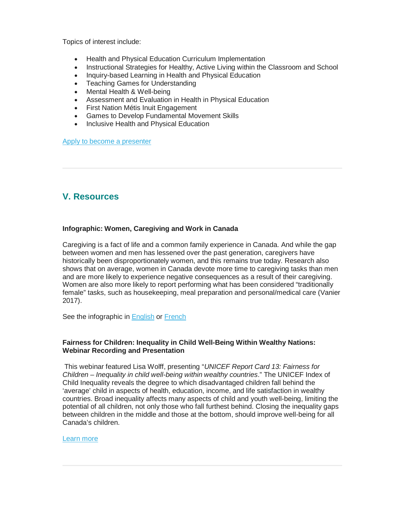Topics of interest include:

- Health and Physical Education Curriculum Implementation
- Instructional Strategies for Healthy, Active Living within the Classroom and School
- Inquiry-based Learning in Health and Physical Education
- Teaching Games for Understanding
- Mental Health & Well-being
- Assessment and Evaluation in Health in Physical Education
- First Nation Métis Inuit Engagement
- Games to Develop Fundamental Movement Skills
- Inclusive Health and Physical Education

[Apply to become a presenter](http://ophea.cmail19.com/t/r-l-yutlykul-tuiugwy-k/)

# <span id="page-5-0"></span>**V. Resources**

## **Infographic: Women, Caregiving and Work in Canada**

Caregiving is a fact of life and a common family experience in Canada. And while the gap between women and men has lessened over the past generation, caregivers have historically been disproportionately women, and this remains true today. Research also shows that on average, women in Canada devote more time to caregiving tasks than men and are more likely to experience negative consequences as a result of their caregiving. Women are also more likely to report performing what has been considered "traditionally female" tasks, such as housekeeping, meal preparation and personal/medical care (Vanier 2017).

See the infographic in **[English](http://vanierinstitute.ca/infographic-women-caregiving-work-canada/) or [French](http://institutvanier.ca/fiche-infographique-les-femmes-les-soins-le-travail-au-canada/)** 

## **Fairness for Children: Inequality in Child Well-Being Within Wealthy Nations: Webinar Recording and Presentation**

This webinar featured Lisa Wolff, presenting "*UNICEF Report Card 13: Fairness for Children – Inequality in child well-being within wealthy countries*." The UNICEF Index of Child Inequality reveals the degree to which disadvantaged children fall behind the 'average' child in aspects of health, education, income, and life satisfaction in wealthy countries. Broad inequality affects many aspects of child and youth well-being, limiting the potential of all children, not only those who fall furthest behind. Closing the inequality gaps between children in the middle and those at the bottom, should improve well-being for all Canada's children.

## [Learn more](https://www.publichealthontario.ca/en/LearningAndDevelopment/EventPresentations/Early%20Years%20Series_UNICEF%20Report%20Card%2013_Fairness%20for%20children%20-%20inequality%20in%20child%20well-being%20within%20wealthy%20countries.pdf)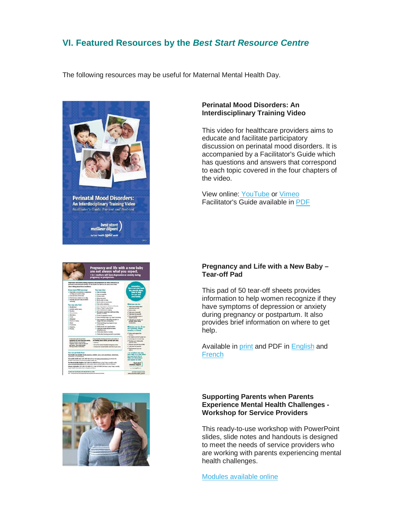# <span id="page-6-0"></span>**VI. Featured Resources by the** *Best Start Resource Centre*

The following resources may be useful for Maternal Mental Health Day.







## **Perinatal Mood Disorders: An Interdisciplinary Training Video**

This video for healthcare providers aims to educate and facilitate participatory discussion on perinatal mood disorders. It is accompanied by a Facilitator's Guide which has questions and answers that correspond to each topic covered in the four chapters of the video.

View online: [YouTube](http://www.youtube.com/watch?v=6mT5kCUe_To) or [Vimeo](http://vimeo.com/36366583) Facilitator's Guide available in [PDF](http://www.beststart.org/resources/ppmd/PeriNatal_DVD_Booklet_ENG.pdf)

## **Pregnancy and Life with a New Baby – Tear-off Pad**

This pad of 50 tear-off sheets provides information to help women recognize if they have symptoms of depression or anxiety during pregnancy or postpartum. It also provides brief information on where to get help.

Available in [print](http://www.beststart.org/cgi-bin/commerce.cgi?preadd=action&key=M07-B) and PDF in [English](http://www.beststart.org/resources/ppmd/PPMD_symptom_tearoff_2013.pdf) and **[French](http://www.beststart.org/resources/ppmd/PPMD_symptom_tearoff_2013.pdf)** 

### **Supporting Parents when Parents Experience Mental Health Challenges - Workshop for Service Providers**

This ready-to-use workshop with PowerPoint slides, slide notes and handouts is designed to meet the needs of service providers who are working with parents experiencing mental health challenges.

[Modules available online](http://www.beststart.org/resources/ppmd/supporting_parents_modules.html)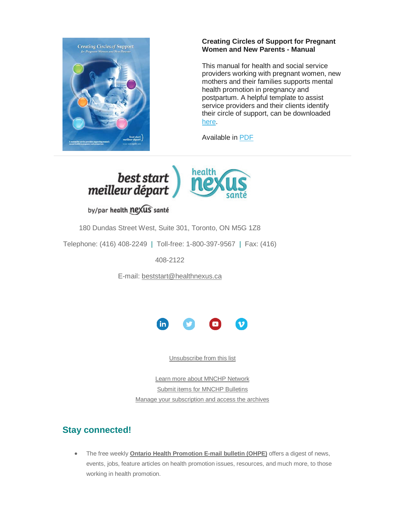

## **Creating Circles of Support for Pregnant Women and New Parents - Manual**

This manual for health and social service providers working with pregnant women, new mothers and their families supports mental health promotion in pregnancy and postpartum. A helpful template to assist service providers and their clients identify their circle of support, can be downloaded [here.](http://www.beststart.org/resources/ppmd/pdf/Circle%20of%20Support%20Contacts%20template.pdf)

Available in [PDF](http://www.beststart.org/resources/ppmd/circles_of_support_manual_2013.pdf)



by/par health nexus santé

180 Dundas Street West, Suite 301, Toronto, ON M5G 1Z8

Telephone: (416) 408-2249 | Toll-free: 1-800-397-9567 | Fax: (416)

408-2122

E-mail: [beststart@healthnexus.ca](mailto:beststart@healthnexus.ca?subject=Contact%20Us)



[Unsubscribe from this list](mailto:mnchp@healthnexus.ca?subject=Unsubscribe%20from%20MNCHP%20bulletin)

[Learn more about MNCHP Network](http://lists.beststart.org/listinfo.cgi/mnchp-beststart.org) [Submit items for MNCHP Bulletins](mailto:mnchp@healthnexus.ca) [Manage your subscription and access the archives](http://lists.beststart.org/listinfo.cgi/mnchp-beststart.org)

# **Stay connected!**

• The free weekly **[Ontario Health Promotion E-mail bulletin \(OHPE\)](http://www.ohpe.ca/)** offers a digest of news, events, jobs, feature articles on health promotion issues, resources, and much more, to those working in health promotion.